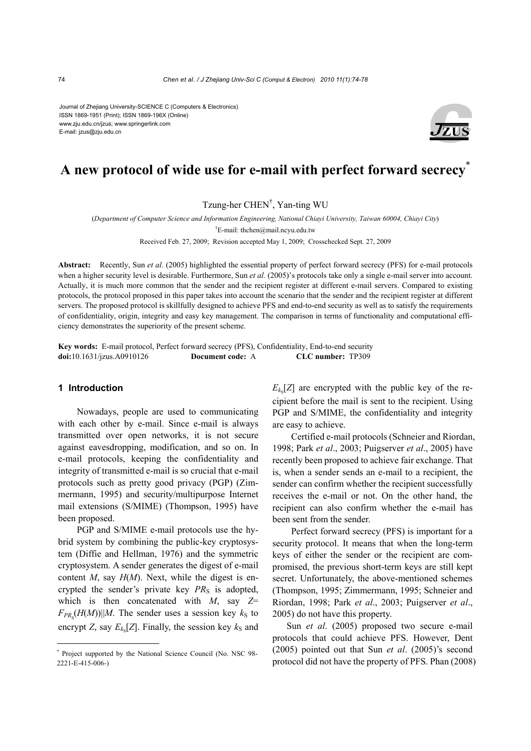Journal of Zhejiang University-SCIENCE C (Computers & Electronics) ISSN 1869-1951 (Print); ISSN 1869-196X (Online) www.zju.edu.cn/jzus; www.springerlink.com E-mail: jzus@zju.edu.cn



# **A new protocol of wide use for e-mail with perfect forward secrecy**\*

Tzung-her CHEN† , Yan-ting WU

(*Department of Computer Science and Information Engineering, National Chiayi University, Taiwan 60004, Chiayi City*)

† E-mail: thchen@mail.ncyu.edu.tw

Received Feb. 27, 2009; Revision accepted May 1, 2009; Crosschecked Sept. 27, 2009

**Abstract:** Recently, Sun *et al*. (2005) highlighted the essential property of perfect forward secrecy (PFS) for e-mail protocols when a higher security level is desirable. Furthermore, Sun *et al.* (2005)'s protocols take only a single e-mail server into account. Actually, it is much more common that the sender and the recipient register at different e-mail servers. Compared to existing protocols, the protocol proposed in this paper takes into account the scenario that the sender and the recipient register at different servers. The proposed protocol is skillfully designed to achieve PFS and end-to-end security as well as to satisfy the requirements of confidentiality, origin, integrity and easy key management. The comparison in terms of functionality and computational efficiency demonstrates the superiority of the present scheme.

**Key words:** E-mail protocol, Perfect forward secrecy (PFS), Confidentiality, End-to-end security **doi:**10.1631/jzus.A0910126 **Document code:** A **CLC number:** TP309

#### **1 Introduction**

Nowadays, people are used to communicating with each other by e-mail. Since e-mail is always transmitted over open networks, it is not secure against eavesdropping, modification, and so on. In e-mail protocols, keeping the confidentiality and integrity of transmitted e-mail is so crucial that e-mail protocols such as pretty good privacy (PGP) (Zimmermann, 1995) and security/multipurpose Internet mail extensions (S/MIME) (Thompson, 1995) have been proposed.

PGP and S/MIME e-mail protocols use the hybrid system by combining the public-key cryptosystem (Diffie and Hellman, 1976) and the symmetric cryptosystem. A sender generates the digest of e-mail content *M*, say *H*(*M*). Next, while the digest is encrypted the sender's private key  $PR<sub>S</sub>$  is adopted, which is then concatenated with *M*, say *Z*=  $F_{PR_S}(H(M))$ ||*M*. The sender uses a session key  $k_S$  to encrypt *Z*, say  $E_{k_S}[Z]$ . Finally, the session key  $k_S$  and

 $E_{k}$ [*Z*] are encrypted with the public key of the recipient before the mail is sent to the recipient. Using PGP and S/MIME, the confidentiality and integrity are easy to achieve.

Certified e-mail protocols (Schneier and Riordan, 1998; Park *et al*., 2003; Puigserver *et al*., 2005) have recently been proposed to achieve fair exchange. That is, when a sender sends an e-mail to a recipient, the sender can confirm whether the recipient successfully receives the e-mail or not. On the other hand, the recipient can also confirm whether the e-mail has been sent from the sender.

Perfect forward secrecy (PFS) is important for a security protocol. It means that when the long-term keys of either the sender or the recipient are compromised, the previous short-term keys are still kept secret. Unfortunately, the above-mentioned schemes (Thompson, 1995; Zimmermann, 1995; Schneier and Riordan, 1998; Park *et al*., 2003; Puigserver *et al*., 2005) do not have this property.

Sun *et al*. (2005) proposed two secure e-mail protocols that could achieve PFS. However, Dent (2005) pointed out that Sun *et al*. (2005)'s second protocol did not have the property of PFS. Phan (2008)

<sup>\*</sup> Project supported by the National Science Council (No. NSC 98- 2221-E-415-006-)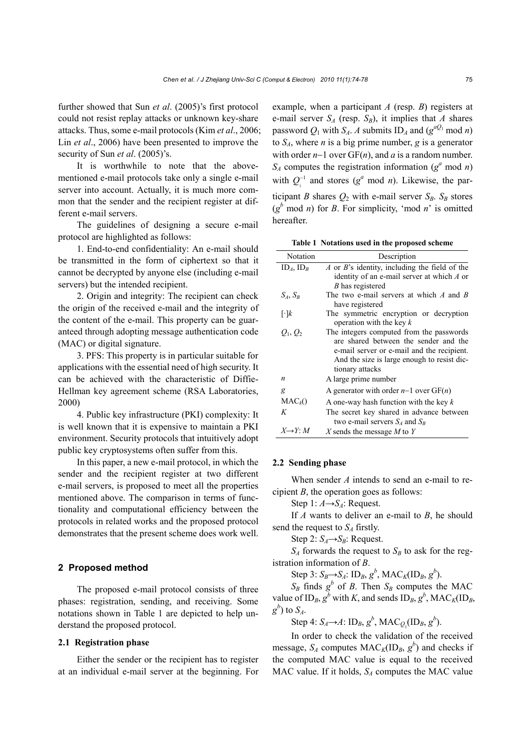further showed that Sun *et al*. (2005)'s first protocol could not resist replay attacks or unknown key-share attacks. Thus, some e-mail protocols (Kim *et al*., 2006; Lin *et al*., 2006) have been presented to improve the security of Sun *et al*. (2005)'s.

It is worthwhile to note that the abovementioned e-mail protocols take only a single e-mail server into account. Actually, it is much more common that the sender and the recipient register at different e-mail servers.

The guidelines of designing a secure e-mail protocol are highlighted as follows:

1. End-to-end confidentiality: An e-mail should be transmitted in the form of ciphertext so that it cannot be decrypted by anyone else (including e-mail servers) but the intended recipient.

2. Origin and integrity: The recipient can check the origin of the received e-mail and the integrity of the content of the e-mail. This property can be guaranteed through adopting message authentication code (MAC) or digital signature.

3. PFS: This property is in particular suitable for applications with the essential need of high security. It can be achieved with the characteristic of Diffie-Hellman key agreement scheme (RSA Laboratories, 2000)

4. Public key infrastructure (PKI) complexity: It is well known that it is expensive to maintain a PKI environment. Security protocols that intuitively adopt public key cryptosystems often suffer from this.

In this paper, a new e-mail protocol, in which the sender and the recipient register at two different e-mail servers, is proposed to meet all the properties mentioned above. The comparison in terms of functionality and computational efficiency between the protocols in related works and the proposed protocol demonstrates that the present scheme does work well.

#### **2 Proposed method**

The proposed e-mail protocol consists of three phases: registration, sending, and receiving. Some notations shown in Table 1 are depicted to help understand the proposed protocol.

#### **2.1 Registration phase**

Either the sender or the recipient has to register at an individual e-mail server at the beginning. For example, when a participant *A* (resp. *B*) registers at e-mail server  $S_A$  (resp.  $S_B$ ), it implies that *A* shares password  $Q_1$  with  $S_A$ . *A* submits  $ID_A$  and  $(g^{aQ_1} \mod n)$ to  $S_A$ , where *n* is a big prime number, *g* is a generator with order *n*−1 over GF(*n*), and *a* is a random number.  $S_A$  computes the registration information ( $g^a$  mod *n*) with  $Q_1^{-1}$  and stores ( $g^a$  mod *n*). Likewise, the participant *B* shares  $Q_2$  with e-mail server  $S_B$ .  $S_B$  stores  $(g<sup>b</sup> \text{ mod } n)$  for *B*. For simplicity, 'mod *n*' is omitted hereafter.

**Table 1 Notations used in the proposed scheme** 

| Notation                | Description                                                                                                                                                                                       |  |  |  |  |
|-------------------------|---------------------------------------------------------------------------------------------------------------------------------------------------------------------------------------------------|--|--|--|--|
| $ID_A$ , $ID_B$         | A or B's identity, including the field of the                                                                                                                                                     |  |  |  |  |
|                         | identity of an e-mail server at which $A$ or                                                                                                                                                      |  |  |  |  |
|                         | B has registered                                                                                                                                                                                  |  |  |  |  |
| $S_A, S_B$              | The two e-mail servers at which $A$ and $B$                                                                                                                                                       |  |  |  |  |
|                         | have registered                                                                                                                                                                                   |  |  |  |  |
| $\lceil \cdot \rceil k$ | The symmetric encryption or decryption<br>operation with the key $k$                                                                                                                              |  |  |  |  |
| $O_1, O_2$              | The integers computed from the passwords<br>are shared between the sender and the<br>e-mail server or e-mail and the recipient.<br>And the size is large enough to resist dic-<br>tionary attacks |  |  |  |  |
| $\boldsymbol{n}$        | A large prime number                                                                                                                                                                              |  |  |  |  |
| g                       | A generator with order $n-1$ over $GF(n)$                                                                                                                                                         |  |  |  |  |
| $MAC_k()$               | A one-way hash function with the key $k$                                                                                                                                                          |  |  |  |  |
| K                       | The secret key shared in advance between<br>two e-mail servers $S_4$ and $S_R$                                                                                                                    |  |  |  |  |
| $X \rightarrow Y$ : M   | X sends the message M to Y                                                                                                                                                                        |  |  |  |  |

#### **2.2 Sending phase**

When sender *A* intends to send an e-mail to recipient *B*, the operation goes as follows:

Step 1:  $A \rightarrow S_A$ : Request.

If *A* wants to deliver an e-mail to *B*, he should send the request to  $S<sub>A</sub>$  firstly.

Step 2:  $S_A \rightarrow S_B$ : Request.

 $S_A$  forwards the request to  $S_B$  to ask for the registration information of *B*.

Step 3:  $S_B \rightarrow S_A$ : ID<sub>B</sub>,  $g^b$ , MAC<sub>*K*</sub>(ID<sub>B</sub>,  $g^b$ ).

 $S_B$  finds  $g^b$  of *B*. Then  $S_B$  computes the MAC value of  $ID_B$ ,  $g^b$  with *K*, and sends  $ID_B$ ,  $g^b$ , MAC<sub>*K*</sub>(ID<sub>*B*</sub>,  $g^b$ ) to *S<sub>A</sub>*.

Step 4:  $S_A \rightarrow A$ :  $ID_B$ ,  $g^b$ ,  $MAC_{Q_1} (ID_B, g^b)$ .

In order to check the validation of the received message,  $S_A$  computes  $MAC_K(ID_B, g^b)$  and checks if the computed MAC value is equal to the received MAC value. If it holds,  $S_A$  computes the MAC value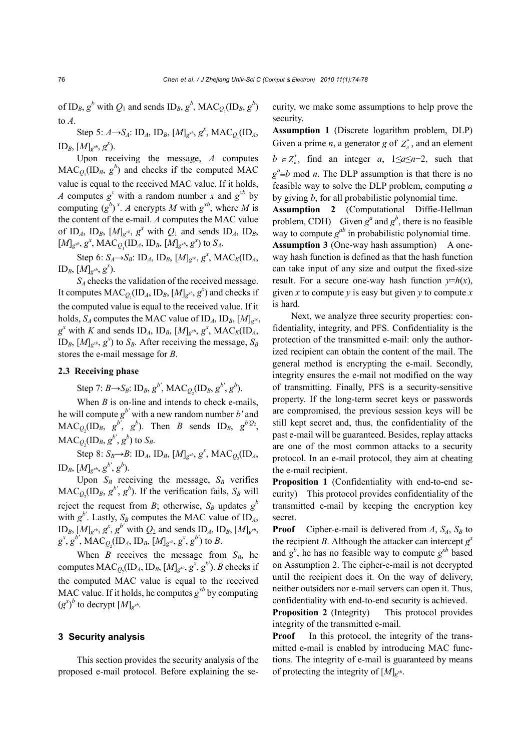of  $ID_B$ ,  $g^b$  with  $Q_1$  and sends  $ID_B$ ,  $g^b$ ,  $MAC_{Q_1}(ID_B, g^b)$ to *A*.

Step 5: *A*→*S<sub>A</sub>*: ID<sub>*A*</sub>, ID<sub>*B*</sub>, [*M*]<sub>*g*<sup>*xb*</sup>, *g<sup>x</sup>*, MAC<sub>*Q*<sub>1</sub></sub>(ID<sub>*A*</sub>,</sub>  $ID_B$ ,  $[M]_{g^{xb}}$ ,  $g^x$ ).

Upon receiving the message, *A* computes  $MAC_{Q_1} (ID_B, g^b)$  and checks if the computed MAC value is equal to the received MAC value. If it holds, *A* computes  $g^x$  with a random number *x* and  $g^{x^b}$  by computing  $(g^b)^x$ . *A* encrypts *M* with  $g^{xb}$ , where *M* is the content of the e-mail. *A* computes the MAC value of ID<sub>A</sub>, ID<sub>B</sub>,  $[M]_{g^{xb}}$ ,  $g^x$  with  $Q_1$  and sends ID<sub>A</sub>, ID<sub>B</sub>,  $[M]_{g}^{x}$ ,  $g^x$ ,  $MAC_{Q_1} (ID_A, ID_B, [M]_{g}^{x}$ ,  $g^x)$  to  $S_A$ .

Step 6:  $S_A \rightarrow S_B$ : ID<sub>A</sub>, ID<sub>B</sub>, [ $M$ ]<sub>g</sub><sup>*xb*</sup>, g<sup>*x*</sup>, MAC<sub>*K*</sub>(ID<sub>*A*</sub>,  $\text{ID}_B$ ,  $\overline{[M]}_{g^{xb}}$ ,  $g^x$ ).

*SA* checks the validation of the received message. It computes  $MAC_{Q_1}(ID_A, ID_B, [M]_{g^{xb}}, g^x)$  and checks if the computed value is equal to the received value. If it holds,  $S_A$  computes the MAC value of  $ID_A$ ,  $ID_B$ ,  $[M]_{\varphi^{xb}}$ ,  $g^x$  with *K* and sends  $ID_A$ ,  $ID_B$ ,  $[M]_{g^{xb}}$ ,  $g^x$ ,  $MAC_K (ID_A)$ ID<sub>B</sub>,  $[M]g^{xb}$ ,  $g^{x}$ ) to  $S_B$ . After receiving the message,  $S_B$ stores the e-mail message for *B*.

### **2.3 Receiving phase**

Step 7:  $B \rightarrow S_B$ :  $ID_B$ ,  $g^{b'}$ ,  $MAC_{Q_2}(ID_B, g^{b'}, g^{b})$ .

When *B* is on-line and intends to check e-mails, he will compute *g b'* with a new random number *b'* and  $MAC_{Q_2}(ID_B, g^{b'}, g^b)$ . Then *B* sends  $ID_B, g^{b'Q_2}$ ,  $MAC_{Q_2}(ID_B, g^{b'}, g^b)$  to  $S_B$ .

Step 8:  $S_B \rightarrow B$ : ID<sub>A</sub>, ID<sub>B</sub>, [ $M$ ]<sub>g</sub><sup>*xb*</sup>,  $g^x$ , MAC<sub>Q<sub>2</sub></sub>(ID<sub>A</sub>,  $\text{ID}_B, [\![M]\!]_{g^{xb}}, g^{b'}, g^{b}).$ 

Upon  $S_B$  receiving the message,  $S_B$  verifies  $MAC_{Q_2}(\text{ID}_B, g^{b'}, g^b)$ . If the verification fails,  $S_B$  will reject the request from *B*; otherwise,  $S_B$  updates  $g^b$ with  $g^{b'}$ . Lastly,  $S_B$  computes the MAC value of ID<sub>A</sub>,  $ID_B$ ,  $[M]_{g^{xb}}$ ,  $g^x$ ,  $g^{b'}$  with  $Q_2$  and sends  $ID_A$ ,  $ID_B$ ,  $[M]_{g^{xb}}$ ,  $g^x, g^{b'}$ ,  $MAC_{Q_2}(ID_A, ID_B, [M]_{g^{xb}}, g^x, g^{b'})$  to *B*.

When  $B$  receives the message from  $S_B$ , he computes  $MAC_{Q_2}(ID_A, ID_B, [M]_{g^{xb}}, g^x, g^{b'})$ . *B* checks if the computed MAC value is equal to the received MAC value. If it holds, he computes  $g^{xb}$  by computing  $(g^x)^b$  to decrypt  $[M]_{g^{xb}}$ .

### **3 Security analysis**

This section provides the security analysis of the proposed e-mail protocol. Before explaining the security, we make some assumptions to help prove the security.

**Assumption 1** (Discrete logarithm problem, DLP) Given a prime *n*, a generator *g* of  $Z_n^*$ , and an element  $b \in Z_n^*$ , find an integer *a*, 1≤*a*≤*n*−2, such that  $g^a \equiv b \mod n$ . The DLP assumption is that there is no feasible way to solve the DLP problem, computing *a* by giving *b*, for all probabilistic polynomial time.

**Assumption 2** (Computational Diffie-Hellman problem, CDH) Given  $g^a$  and  $g^b$ , there is no feasible way to compute  $g^{ab}$  in probabilistic polynomial time. **Assumption 3** (One-way hash assumption) A oneway hash function is defined as that the hash function can take input of any size and output the fixed-size result. For a secure one-way hash function  $y=h(x)$ , given *x* to compute *y* is easy but given *y* to compute *x* is hard.

Next, we analyze three security properties: confidentiality, integrity, and PFS. Confidentiality is the protection of the transmitted e-mail: only the authorized recipient can obtain the content of the mail. The general method is encrypting the e-mail. Secondly, integrity ensures the e-mail not modified on the way of transmitting. Finally, PFS is a security-sensitive property. If the long-term secret keys or passwords are compromised, the previous session keys will be still kept secret and, thus, the confidentiality of the past e-mail will be guaranteed. Besides, replay attacks are one of the most common attacks to a security protocol. In an e-mail protocol, they aim at cheating the e-mail recipient.

**Proposition 1** (Confidentiality with end-to-end security) This protocol provides confidentiality of the transmitted e-mail by keeping the encryption key secret.

**Proof** Cipher-e-mail is delivered from  $A$ ,  $S_A$ ,  $S_B$  to the recipient *B*. Although the attacker can intercept  $g^x$ and  $g^b$ , he has no feasible way to compute  $g^{xb}$  based on Assumption 2. The cipher-e-mail is not decrypted until the recipient does it. On the way of delivery, neither outsiders nor e-mail servers can open it. Thus, confidentiality with end-to-end security is achieved.

**Proposition 2** (Integrity) This protocol provides integrity of the transmitted e-mail.

**Proof** In this protocol, the integrity of the transmitted e-mail is enabled by introducing MAC functions. The integrity of e-mail is guaranteed by means of protecting the integrity of  $[M]_{\varphi^{xb}}$ .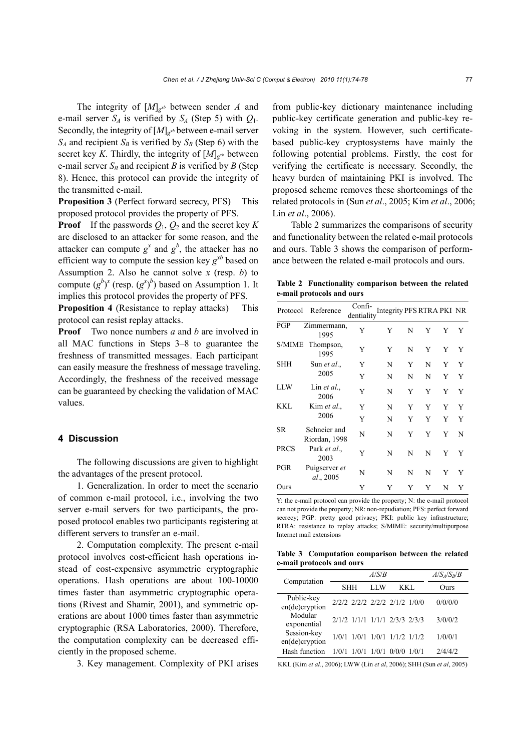The integrity of [*M*]*gxb* between sender *A* and e-mail server  $S_A$  is verified by  $S_A$  (Step 5) with  $Q_1$ . Secondly, the integrity of  $[M]_{g^{xb}}$  between e-mail server  $S_A$  and recipient  $S_B$  is verified by  $S_B$  (Step 6) with the secret key *K*. Thirdly, the integrity of  $[M]_{g^{x}}$  between e-mail server  $S_B$  and recipient *B* is verified by *B* (Step 8). Hence, this protocol can provide the integrity of the transmitted e-mail.

**Proposition 3** (Perfect forward secrecy, PFS) This proposed protocol provides the property of PFS.

**Proof** If the passwords  $Q_1$ ,  $Q_2$  and the secret key *K* are disclosed to an attacker for some reason, and the attacker can compute  $g^x$  and  $g^b$ , the attacker has no efficient way to compute the session key  $g^{x}$ <sup>*xb*</sup> based on Assumption 2. Also he cannot solve *x* (resp. *b*) to compute  $(g^b)^x$  (resp.  $(g^x)^b$ ) based on Assumption 1. It implies this protocol provides the property of PFS.

**Proposition 4** (Resistance to replay attacks) This protocol can resist replay attacks.

**Proof** Two nonce numbers *a* and *b* are involved in all MAC functions in Steps 3–8 to guarantee the freshness of transmitted messages. Each participant can easily measure the freshness of message traveling. Accordingly, the freshness of the received message can be guaranteed by checking the validation of MAC values.

#### **4 Discussion**

The following discussions are given to highlight the advantages of the present protocol.

1. Generalization. In order to meet the scenario of common e-mail protocol, i.e., involving the two server e-mail servers for two participants, the proposed protocol enables two participants registering at different servers to transfer an e-mail.

2. Computation complexity. The present e-mail protocol involves cost-efficient hash operations instead of cost-expensive asymmetric cryptographic operations. Hash operations are about 100-10000 times faster than asymmetric cryptographic operations (Rivest and Shamir, 2001), and symmetric operations are about 1000 times faster than asymmetric cryptographic (RSA Laboratories, 2000). Therefore, the computation complexity can be decreased efficiently in the proposed scheme.

3. Key management. Complexity of PKI arises

from public-key dictionary maintenance including public-key certificate generation and public-key revoking in the system. However, such certificatebased public-key cryptosystems have mainly the following potential problems. Firstly, the cost for verifying the certificate is necessary. Secondly, the heavy burden of maintaining PKI is involved. The proposed scheme removes these shortcomings of the related protocols in (Sun *et al*., 2005; Kim *et al*., 2006; Lin *et al*., 2006).

Table 2 summarizes the comparisons of security and functionality between the related e-mail protocols and ours. Table 3 shows the comparison of performance between the related e-mail protocols and ours.

**Table 2 Functionality comparison between the related e-mail protocols and ours** 

| Protocol    | Reference                     | Confi-<br>dentiality | Integrity PFS RTRA PKI NR |   |   |   |   |
|-------------|-------------------------------|----------------------|---------------------------|---|---|---|---|
| PGP         | Zimmermann,<br>1995           | Y                    | Y                         | N | Y | Y | Y |
|             | S/MIME Thompson,<br>1995      | Y                    | Y                         | N | Y | Y | Y |
| SHH         | Sun <i>et al.</i> ,           | Y                    | N                         | Y | N | Y | Y |
|             | 2005                          | Y                    | N                         | N | N | Y | Y |
| <b>LLW</b>  | Lin <i>et al.</i> ,<br>2006   | Y                    | N                         | Y | Y | Y | Y |
| <b>KKL</b>  | Kim et al.,                   | Y                    | N                         | Y | Y | Y | Y |
|             | 2006                          | Y                    | N                         | Y | Y | Y | Y |
| SR.         | Schneier and<br>Riordan, 1998 | N                    | N                         | Y | Y | Y | N |
| <b>PRCS</b> | Park et al.,<br>2003          | Y                    | N                         | N | N | Y | Y |
| PGR         | Puigserver et<br>al., 2005    | N                    | N                         | N | N | Y | Y |
| Ours        |                               | Y                    | Y                         | Y | Y | N | Y |

Y: the e-mail protocol can provide the property; N: the e-mail protocol can not provide the property; NR: non-repudiation; PFS: perfect forward secrecy; PGP: pretty good privacy; PKI: public key infrastructure; RTRA: resistance to replay attacks; S/MIME: security/multipurpose Internet mail extensions

**Table 3 Computation comparison between the related e-mail protocols and ours**

| Computation                      |                               | $A/S_A/S_B/B$ |       |         |
|----------------------------------|-------------------------------|---------------|-------|---------|
|                                  | <b>SHH</b>                    | LLW           | KKL.  | Ours    |
| Public-key<br>$en(de)$ cryption  | 2/2/2 2/2/2 2/2/2 2/1/2 1/0/0 |               |       | 0/0/0/0 |
| Modular<br>exponential           | 2/1/2 1/1/1 1/1/1 2/3/3 2/3/3 |               |       | 3/0/0/2 |
| Session-key<br>$en(de)$ cryption | 1/0/1 1/0/1 1/0/1 1/1/2 1/1/2 |               |       | 1/0/0/1 |
| Hash function                    |                               | 1/0/1         | 0/0/0 | 2/4/4/2 |

KKL (Kim *et al.*, 2006); LWW (Lin *et al*, 2006); SHH (Sun *et al*, 2005)